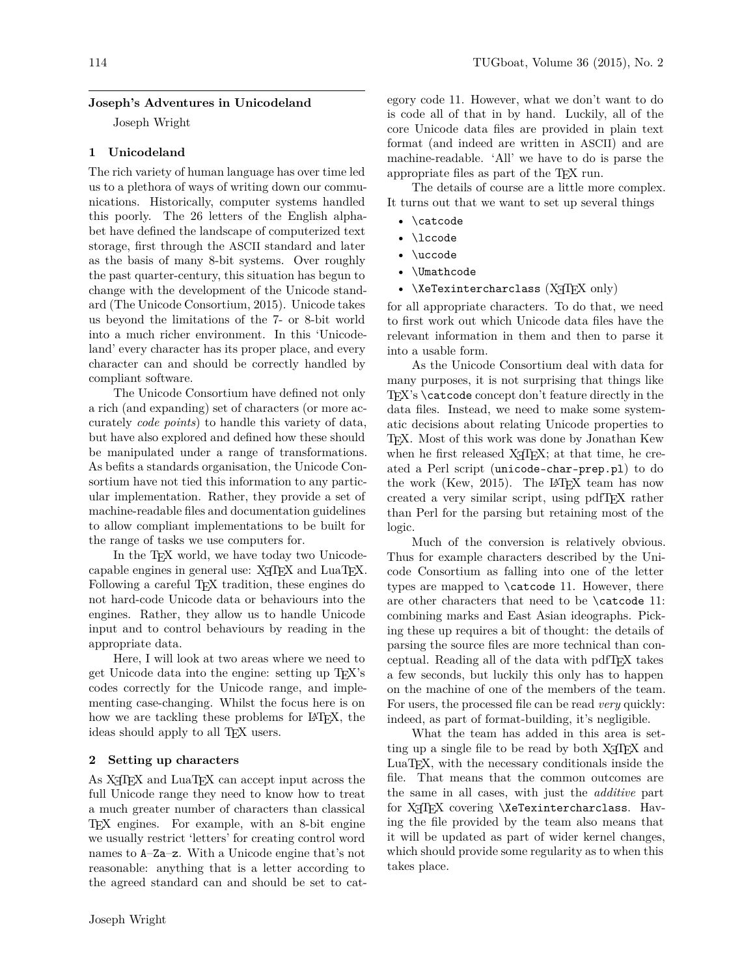### 114 TUGboat, Volume 36 (2015), No. 2

### **Joseph's Adventures in Unicodeland**

Joseph Wright

### **1 Unicodeland**

The rich variety of human language has over time led us to a plethora of ways of writing down our communications. Historically, computer systems handled this poorly. The 26 letters of the English alphabet have defined the landscape of computerized text storage, first through the ASCII standard and later as the basis of many 8-bit systems. Over roughly the past quarter-century, this situation has begun to change with the development of the Unicode standard ([The Unicode Consortium, 2015\)](#page-2-0). Unicode takes us beyond the limitations of the 7- or 8-bit world into a much richer environment. In this 'Unicodeland' every character has its proper place, and every character can and should be correctly handled by compliant software.

The Unicode Consortium have defined not only a rich (and expanding) set of characters (or more accurately *code points*) to handle this variety of data, but have also explored and defined how these should be manipulated under a range of transformations. As befits a standards organisation, the Unicode Consortium have not tied this information to any particular implementation. Rather, they provide a set of machine-readable files and documentation guidelines to allow compliant implementations to be built for the range of tasks we use computers for.

In the T<sub>E</sub>X world, we have today two Unicodecapable engines in general use:  $X \not\subset TFX$  and  $LuaTFX$ . Following a careful T<sub>F</sub>X tradition, these engines do not hard-code Unicode data or behaviours into the engines. Rather, they allow us to handle Unicode input and to control behaviours by reading in the appropriate data.

Here, I will look at two areas where we need to get Unicode data into the engine: setting up TEX's codes correctly for the Unicode range, and implementing case-changing. Whilst the focus here is on how we are tackling these problems for LAT<sub>E</sub>X, the ideas should apply to all TEX users.

#### **2 Setting up characters**

As X<sub>T</sub>T<sub>E</sub>X and LuaT<sub>E</sub>X can accept input across the full Unicode range they need to know how to treat a much greater number of characters than classical TEX engines. For example, with an 8-bit engine we usually restrict 'letters' for creating control word names to A–Za–z. With a Unicode engine that's not reasonable: anything that is a letter according to the agreed standard can and should be set to category code 11. However, what we don't want to do is code all of that in by hand. Luckily, all of the core Unicode data files are provided in plain text format (and indeed are written in ASCII) and are machine-readable. 'All' we have to do is parse the appropriate files as part of the TEX run.

The details of course are a little more complex. It turns out that we want to set up several things

- \catcode
- \lccode
- \uccode
- \Umathcode
- $\XeTexintercharclass (XaFX only)$

for all appropriate characters. To do that, we need to first work out which Unicode data files have the relevant information in them and then to parse it into a usable form.

As the Unicode Consortium deal with data for many purposes, it is not surprising that things like TEX's \catcode concept don't feature directly in the data files. Instead, we need to make some systematic decisions about relating Unicode properties to TEX. Most of this work was done by Jonathan Kew when he first released X<sub>T</sub>T<sub>E</sub>X; at that time, he created a Perl script (unicode-char-prep.pl) to do the work [\(Kew, 2015](#page-2-1)). The LAT<sub>E</sub>X team has now created a very similar script, using pdfTEX rather than Perl for the parsing but retaining most of the logic.

Much of the conversion is relatively obvious. Thus for example characters described by the Unicode Consortium as falling into one of the letter types are mapped to \catcode 11. However, there are other characters that need to be \catcode 11: combining marks and East Asian ideographs. Picking these up requires a bit of thought: the details of parsing the source files are more technical than conceptual. Reading all of the data with pdfTEX takes a few seconds, but luckily this only has to happen on the machine of one of the members of the team. For users, the processed file can be read *very* quickly: indeed, as part of format-building, it's negligible.

What the team has added in this area is setting up a single file to be read by both X<sub>T</sub>T<sub>F</sub>X and LuaTEX, with the necessary conditionals inside the file. That means that the common outcomes are the same in all cases, with just the *additive* part for X<sub>T</sub>I<sub>F</sub>X covering \XeTexintercharclass. Having the file provided by the team also means that it will be updated as part of wider kernel changes, which should provide some regularity as to when this takes place.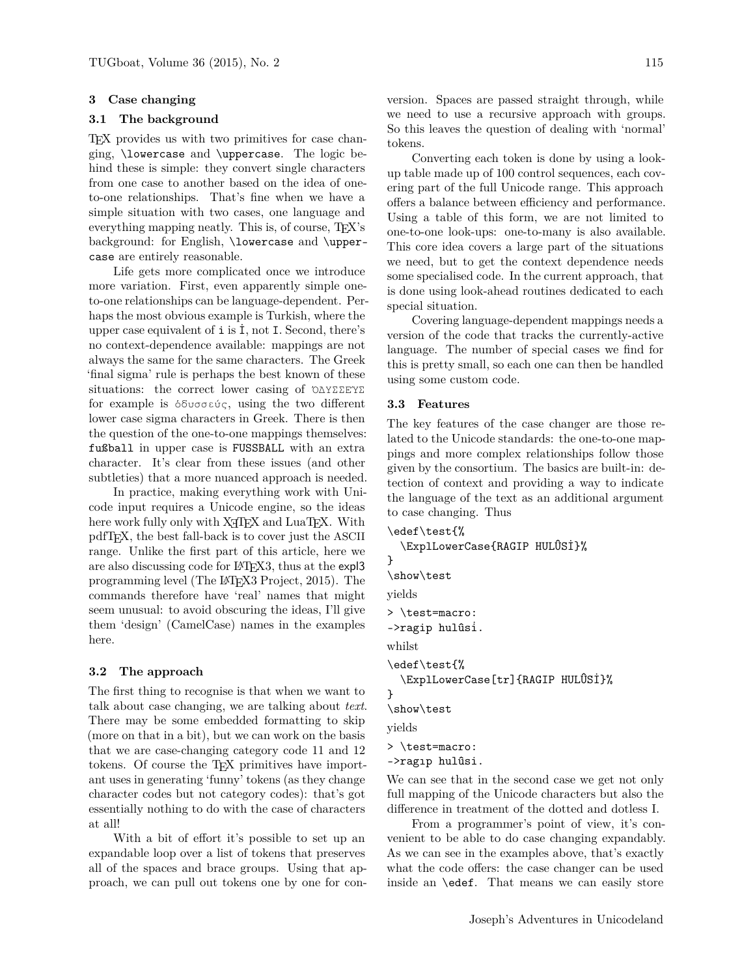## **3 Case changing**

#### **3.1 The background**

TEX provides us with two primitives for case changing, \lowercase and \uppercase. The logic behind these is simple: they convert single characters from one case to another based on the idea of oneto-one relationships. That's fine when we have a simple situation with two cases, one language and everything mapping neatly. This is, of course, T<sub>EX</sub>'s background: for English, \lowercase and \uppercase are entirely reasonable.

Life gets more complicated once we introduce more variation. First, even apparently simple oneto-one relationships can be language-dependent. Perhaps the most obvious example is Turkish, where the upper case equivalent of  $\mathbf i$  is  $\mathbf i$ , not I. Second, there's no context-dependence available: mappings are not always the same for the same characters. The Greek 'final sigma' rule is perhaps the best known of these situations: the correct lower casing of ὈΔΥΣΣΕΎΣ for example is ὀδυσσεύς, using the two different lower case sigma characters in Greek. There is then the question of the one-to-one mappings themselves: fußball in upper case is FUSSBALL with an extra character. It's clear from these issues (and other subtleties) that a more nuanced approach is needed.

In practice, making everything work with Unicode input requires a Unicode engine, so the ideas here work fully only with X<sub>T</sub>T<sub>E</sub>X and LuaT<sub>E</sub>X. With pdfTEX, the best fall-back is to cover just the ASCII range. Unlike the first part of this article, here we are also discussing code for LAT<sub>F</sub>X3, thus at the expl3 programming level (The LA[TEX3 Project, 2015](#page-2-2)). The commands therefore have 'real' names that might seem unusual: to avoid obscuring the ideas, I'll give them 'design' (CamelCase) names in the examples here.

# **3.2 The approach**

The first thing to recognise is that when we want to talk about case changing, we are talking about *text*. There may be some embedded formatting to skip (more on that in a bit), but we can work on the basis that we are case-changing category code 11 and 12 tokens. Of course the T<sub>E</sub>X primitives have important uses in generating 'funny' tokens (as they change character codes but not category codes): that's got essentially nothing to do with the case of characters at all!

With a bit of effort it's possible to set up an expandable loop over a list of tokens that preserves all of the spaces and brace groups. Using that approach, we can pull out tokens one by one for conversion. Spaces are passed straight through, while we need to use a recursive approach with groups. So this leaves the question of dealing with 'normal' tokens.

Converting each token is done by using a lookup table made up of 100 control sequences, each covering part of the full Unicode range. This approach offers a balance between efficiency and performance. Using a table of this form, we are not limited to one-to-one look-ups: one-to-many is also available. This core idea covers a large part of the situations we need, but to get the context dependence needs some specialised code. In the current approach, that is done using look-ahead routines dedicated to each special situation.

Covering language-dependent mappings needs a version of the code that tracks the currently-active language. The number of special cases we find for this is pretty small, so each one can then be handled using some custom code.

# **3.3 Features**

The key features of the case changer are those related to the Unicode standards: the one-to-one mappings and more complex relationships follow those given by the consortium. The basics are built-in: detection of context and providing a way to indicate the language of the text as an additional argument to case changing. Thus

```
\edef\test{%
  \ExplLowerCase{RAGIP HULÛSİ}%
}
\show\test
yields
> \test=macro:
->ragip hulûsi̇.
whilst
\edef\test{%
  \ExplLowerCase[tr]{RAGIP HULÛSİ}%
}
\show\test
yields
> \test=macro:
```
->ragıp hulûsi.

We can see that in the second case we get not only full mapping of the Unicode characters but also the difference in treatment of the dotted and dotless I.

From a programmer's point of view, it's convenient to be able to do case changing expandably. As we can see in the examples above, that's exactly what the code offers: the case changer can be used inside an \edef. That means we can easily store